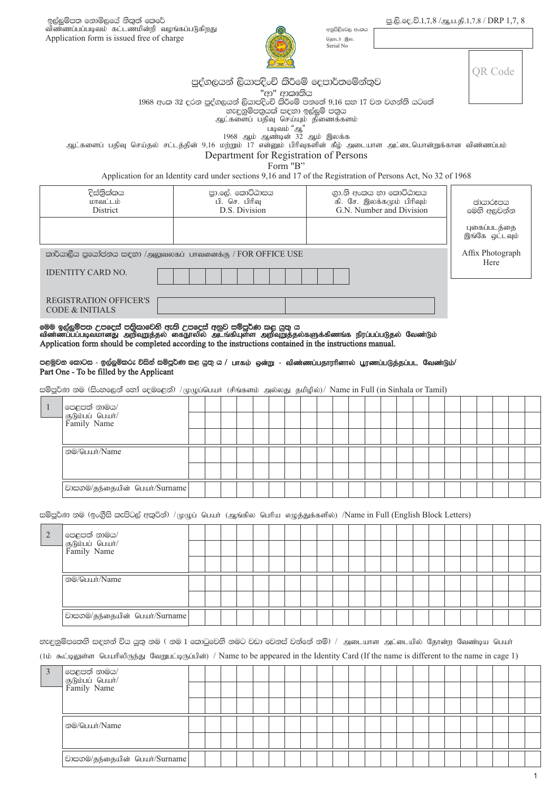ඉල්ලුම්පත නොමිලයේ නිකුත් කෙරේ விண்ணப்பப்படிவம் கட்டணமின்றி வழங்கப்படுகிறது Application form is issued free of charge

අනුපිළිවෙල අංකය தொடர் இல. Serial No

|  | OR Code |
|--|---------|
|  |         |

# පුද්ගලයන් ලියාපදිංචි කිරීමේ දෙපාර්තමේන්තුව

"ආ" ආකෘතිය

1968 අංක 32 දරන පුද්ගලයන් ලියාපදිංචි කි්රීමේ පනතේ 9,16 සහ 17 වන වගන්ති යටතේ

,<br>නැඳුනුම්පතුයක් සඳහා ඉල්ලුම් පතුය

ஆட்களைப் பதிவு செய்யும் திணைக்களம்

் படிவம் "ஆ"<br>1968 ஆம் இலக்க<br>ஆட்களைப் பதிவு செய்தல் சட்டத்தின் 9,16 மற்றும் 17 என்னும் பிரிவுகளின் கீழ் அடையாள அட்டையொன்றுக்கான விண்ணப்பம்

Department for Registration of Persons

Form "B"

Application for an Identity card under sections 9,16 and 17 of the Registration of Persons Act, No 32 of 1968

| දිස්තික්කය<br>மாவட்டம்<br><b>District</b>                                                                                                                                                                                                                                                                                                                                                                                                     | பி. செ. பிரிவு | පා.ලේ. කොට්ඨාසය<br>D.S. Division | ගා.නි අංකය හා කොට්ඨාසය<br>கி. சே. இலக்கமும் பிரிவும்<br>G.N. Number and Division |  | මෙහි අලවන්න                    | ඡායාරූපය |  |
|-----------------------------------------------------------------------------------------------------------------------------------------------------------------------------------------------------------------------------------------------------------------------------------------------------------------------------------------------------------------------------------------------------------------------------------------------|----------------|----------------------------------|----------------------------------------------------------------------------------|--|--------------------------------|----------|--|
|                                                                                                                                                                                                                                                                                                                                                                                                                                               |                |                                  |                                                                                  |  | புகைப்படத்தை<br>இங்கே ஒட்டவும் |          |  |
| කාර්යාලීය පුයෝජනය සඳහා /அலுவலகப் பாவனைக்கு / FOR OFFICE USE                                                                                                                                                                                                                                                                                                                                                                                   |                |                                  |                                                                                  |  | Affix Photograph               | Here     |  |
| <b>IDENTITY CARD NO.</b>                                                                                                                                                                                                                                                                                                                                                                                                                      |                |                                  |                                                                                  |  |                                |          |  |
| <b>REGISTRATION OFFICER'S</b>                                                                                                                                                                                                                                                                                                                                                                                                                 |                |                                  |                                                                                  |  |                                |          |  |
| <b>CODE &amp; INITIALS</b><br>මෙම ඉල්ලුම්පත උපදෙස් පතිකාවෙනි ඇති උපදෙස් අනුව සම්පූර්ණ කළ යුතු ය<br>விண்ணப்பப்படிவமானது  அறிவுறுத்தல்  கைநூலில்  அடங்கியுள்ள  அறிவுறுத்தல்களுக்கிணங்க  நிரப்பப்படுதல்  வேண்டும்<br>Application form should be completed according to the instructions contained in the instructions manual.<br>පළමුවන කොටස - ඉල්ලුම්කරු විසින් සම්පූර්ණ කළ යුතු ය / பாகம் ஒன்று - விண்ணப்பதாரரினால் பூரணப்படுத்தப்பட வேண்டும்/ |                |                                  |                                                                                  |  |                                |          |  |
| Part One - To be filled by the Applicant<br>සම්පූර්ණ නම (සිංහලෙන් හෝ දෙමළෙන්) / (φ φ μ μ (drust (சிங்களம் அல்லது தமிழில்)/ Name in Full (in Sinhala or Tamil)                                                                                                                                                                                                                                                                                 |                |                                  |                                                                                  |  |                                |          |  |
| පෙළපත් නාමය/                                                                                                                                                                                                                                                                                                                                                                                                                                  |                |                                  |                                                                                  |  |                                |          |  |
| குடும்பப் பெயர்/<br>Family Name                                                                                                                                                                                                                                                                                                                                                                                                               |                |                                  |                                                                                  |  |                                |          |  |
|                                                                                                                                                                                                                                                                                                                                                                                                                                               |                |                                  |                                                                                  |  |                                |          |  |
| න <sup>@</sup> /பெயர்/Name                                                                                                                                                                                                                                                                                                                                                                                                                    |                |                                  |                                                                                  |  |                                |          |  |

| 2 <sup>1</sup> |                                                   |  |  |  |  |  |  |  |  |  |  |  |
|----------------|---------------------------------------------------|--|--|--|--|--|--|--|--|--|--|--|
|                | පෙළපත් නාමය/<br> යුடும்பப் பெயா்/<br> Family Name |  |  |  |  |  |  |  |  |  |  |  |
|                |                                                   |  |  |  |  |  |  |  |  |  |  |  |
|                | ல <sup>@</sup> /பெயர்/Name                        |  |  |  |  |  |  |  |  |  |  |  |
|                |                                                   |  |  |  |  |  |  |  |  |  |  |  |
|                | වාසගම/தந்தையின் பெயர்/Surname                     |  |  |  |  |  |  |  |  |  |  |  |

නැඳුනුම්පතෙනි සඳහන් විය යුතු නම ( නම 1 කොටුවෙනි නමට වඩා වෙනස් වන්නේ නම්) / அடையாள அட்டையில் தோன்ற வேண்டிய பெயா

(1ம் கூட்டிலுள்ள பெயரிலிருந்து வேறுபட்டிருப்பின்) / Name to be appeared in the Identity Card (If the name is different to the name in cage 1)

| $\mathbf{3}$ | පෙළපත් නාමය/<br> යුடும்பப் பெயா்/<br> Family Name |  |  |  |  |  |  |  |  |  |  |  |
|--------------|---------------------------------------------------|--|--|--|--|--|--|--|--|--|--|--|
|              |                                                   |  |  |  |  |  |  |  |  |  |  |  |
|              |                                                   |  |  |  |  |  |  |  |  |  |  |  |
|              | ூ©/பெயர்/Name                                     |  |  |  |  |  |  |  |  |  |  |  |
|              |                                                   |  |  |  |  |  |  |  |  |  |  |  |
|              | වාසගම/தந்தையின் பெயர்/Surname                     |  |  |  |  |  |  |  |  |  |  |  |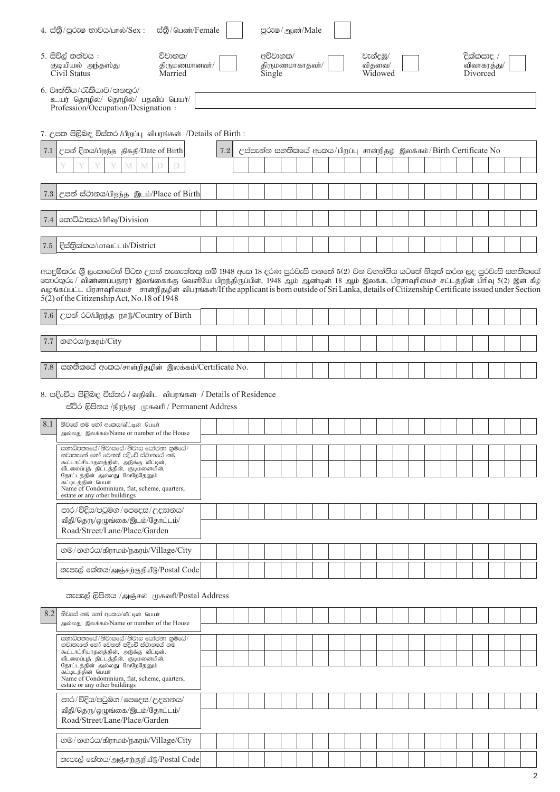|     | ස්තී/பெண்/Female<br>4. ස්තුී/පුරුෂ භාවය/பால்/Sex:                                                                                                                                                                                                                                                                                                                                                                                                                                |     |  |                    | පුරුෂ/ ஆண்/Male                                                      |  |  |          |                   |  |  |                        |             |  |
|-----|----------------------------------------------------------------------------------------------------------------------------------------------------------------------------------------------------------------------------------------------------------------------------------------------------------------------------------------------------------------------------------------------------------------------------------------------------------------------------------|-----|--|--------------------|----------------------------------------------------------------------|--|--|----------|-------------------|--|--|------------------------|-------------|--|
|     | 5. සිවිල් තත්වය :<br>විවාහක/<br>குடியியல் அந்தஸ்து<br>திருமணமானவர்/<br>Civil Status<br>Married                                                                                                                                                                                                                                                                                                                                                                                   |     |  | අවිවාහක/<br>Single | திருமணமாகாதவர்/                                                      |  |  | වැන්දඹු/ | விதவை/<br>Widowed |  |  | දික්කසාද /<br>Divorced | விவாகரத்து/ |  |
|     | 6. වෘත්තිය/රැකියාව/තනතුර/<br>உயர் தொழில்/ தொழில்/ பதவிப் பெயர்/<br>Profession/Occupation/Designation:                                                                                                                                                                                                                                                                                                                                                                            |     |  |                    |                                                                      |  |  |          |                   |  |  |                        |             |  |
|     | 7. උපත පිලිබඳ විස්තර /பிறப்பு விபரங்கள் /Details of Birth :                                                                                                                                                                                                                                                                                                                                                                                                                      |     |  |                    |                                                                      |  |  |          |                   |  |  |                        |             |  |
| 7.1 | උපන් දිනය/பிறந்த திகதி/Date of Birth<br>M<br>M<br>$\mathbb{D}$<br>D                                                                                                                                                                                                                                                                                                                                                                                                              | 7.2 |  |                    | උප්පැන්න සහතිකයේ අංකය/பிறப்பு சான்றிதழ் இலக்கம்/Birth Certificate No |  |  |          |                   |  |  |                        |             |  |
|     | 7.3 උපන් ස්ථානය/பிறந்த இடம்/Place of Birth                                                                                                                                                                                                                                                                                                                                                                                                                                       |     |  |                    |                                                                      |  |  |          |                   |  |  |                        |             |  |
| 7.4 | කොට්ඨාසය/பிரிவு/Division                                                                                                                                                                                                                                                                                                                                                                                                                                                         |     |  |                    |                                                                      |  |  |          |                   |  |  |                        |             |  |
| 7.5 | දිස්තික්කය/மாவட்டம்/District                                                                                                                                                                                                                                                                                                                                                                                                                                                     |     |  |                    |                                                                      |  |  |          |                   |  |  |                        |             |  |
|     | අයදුම්කරු ශී ලංකාවෙන් පිටත උපන් තැනැත්තකු නම් 1948 අංක 18 දරණ පුරවැසි පනතේ 5(2) වන වගන්තිය යටතේ නිකුත් කරන ලද පුරවැසි සහතිකයේ<br>ூற்ற்ட்ட்ட விண்ணப்பதாரா இலங்கைக்கு வெளியே பிறந்திருப்பின், 1948 ஆம் ஆண்டின் 18 ஆம் இலக்க, பிரசாவுரிமைச் சட்டத்தின் பிரிவு 5(2) இன் கீழ்<br>வழங்கப்பட்ட பிரசாவுரிமைச் சான்றிதழின் விபரங்கள்/If the applicant is born outside of Sri Lanka, details of Citizenship Certificate issued under Section<br>5(2) of the Citizenship Act, No.18 of 1948 |     |  |                    |                                                                      |  |  |          |                   |  |  |                        |             |  |
| 7.6 | උපන් රට/பிறந்த நாடு/Country of Birth                                                                                                                                                                                                                                                                                                                                                                                                                                             |     |  |                    |                                                                      |  |  |          |                   |  |  |                        |             |  |
| 7.7 | නගරය/நகரம்/City                                                                                                                                                                                                                                                                                                                                                                                                                                                                  |     |  |                    |                                                                      |  |  |          |                   |  |  |                        |             |  |
| 7.8 | සහතිකයේ අංකය/சான்றிதழின் இலக்கம்/Certificate No.                                                                                                                                                                                                                                                                                                                                                                                                                                 |     |  |                    |                                                                      |  |  |          |                   |  |  |                        |             |  |
|     | 8. පදිංචිය පිළිබඳ විස්තර / வதிவிட விபரங்கள் / Details of Residence<br>ස්ථිර ලිපිනය /நிரந்தர முகவரி / Permanent Address                                                                                                                                                                                                                                                                                                                                                           |     |  |                    |                                                                      |  |  |          |                   |  |  |                        |             |  |
| 8.1 | නිවසේ නම නෝ අංකය/வீட்டின் பெயர்<br>அல்லது இலக்கம்/Name or number of the House                                                                                                                                                                                                                                                                                                                                                                                                    |     |  |                    |                                                                      |  |  |          |                   |  |  |                        |             |  |
|     | සභාධිපතඎයේ/නිවාසයේ/නිවාස යෝජනා කුමයේ/<br>නවාතැනේ හෝ වෙනත් පදිංචි ස්ථානයේ නම                                                                                                                                                                                                                                                                                                                                                                                                      |     |  |                    |                                                                      |  |  |          |                   |  |  |                        |             |  |
|     | கூட்டாட்சியாதனத்தின், அடுக்கு வீட்டின்,<br>வீடமைப்புத் திட்டத்தின், குடிமனையின்,<br>தோட்டத்தின் அல்லது வேறேதேனும்                                                                                                                                                                                                                                                                                                                                                                |     |  |                    |                                                                      |  |  |          |                   |  |  |                        |             |  |
|     | கட்டிடத்தின் பெயர்<br>Name of Condominium, flat, scheme, quarters,<br>estate or any other buildings                                                                                                                                                                                                                                                                                                                                                                              |     |  |                    |                                                                      |  |  |          |                   |  |  |                        |             |  |
|     | පාර/වීදිය/පටුමග/පෙදෙස/උදහානය/<br>வீதி/தெரு/ஒழுங்கை/இடம்/தோட்டம்/                                                                                                                                                                                                                                                                                                                                                                                                                 |     |  |                    |                                                                      |  |  |          |                   |  |  |                        |             |  |
|     | Road/Street/Lane/Place/Garden                                                                                                                                                                                                                                                                                                                                                                                                                                                    |     |  |                    |                                                                      |  |  |          |                   |  |  |                        |             |  |
|     | லூ/லைப் கிராமம்/நகரம்/Village/City                                                                                                                                                                                                                                                                                                                                                                                                                                               |     |  |                    |                                                                      |  |  |          |                   |  |  |                        |             |  |
|     | නැපැල් කේතය/அஞ்சற்குறியீடு/Postal Code                                                                                                                                                                                                                                                                                                                                                                                                                                           |     |  |                    |                                                                      |  |  |          |                   |  |  |                        |             |  |
|     | තැපැල් ලිපිනය /அஞ்சல் முகவரி/Postal Address                                                                                                                                                                                                                                                                                                                                                                                                                                      |     |  |                    |                                                                      |  |  |          |                   |  |  |                        |             |  |
| 8.2 | නිවසේ නම හෝ අංකය/வீட்டின் பெயர்<br>அல்லது இலக்கம்/Name or number of the House                                                                                                                                                                                                                                                                                                                                                                                                    |     |  |                    |                                                                      |  |  |          |                   |  |  |                        |             |  |
|     | සභාධිපතෟගේ/නිවාසයේ/නිවාස යෝජනා කුමයේ/<br>නවාතැනේ හෝ වෙනත් පදිංචි ස්ථානයේ නම<br>கூட்டாட்சியாதனத்தின், அடுக்கு வீட்டின்,<br>வீடமைப்புத் திட்டத்தின், குடிமனையின்,<br>தோட்டத்தின் அல்லது வேறேதேனும்<br>கட்டிடத்தின் பெயர்                                                                                                                                                                                                                                                           |     |  |                    |                                                                      |  |  |          |                   |  |  |                        |             |  |
|     | Name of Condominium, flat, scheme, quarters,<br>estate or any other buildings                                                                                                                                                                                                                                                                                                                                                                                                    |     |  |                    |                                                                      |  |  |          |                   |  |  |                        |             |  |
|     | පාර/වීදිය/පටුමග/පෙදෙස/උදහානය/<br>வீதி/தெரு/ஒழுங்கை/இடம்/தோட்டம்/<br>Road/Street/Lane/Place/Garden                                                                                                                                                                                                                                                                                                                                                                                |     |  |                    |                                                                      |  |  |          |                   |  |  |                        |             |  |

| Road/Street/Lane/Piace/Gargen          |  |  |  |  |  |  |  |  |  |  |  |
|----------------------------------------|--|--|--|--|--|--|--|--|--|--|--|
| ு @®/නගරය/கிராமம்/நகரம்/Village/City   |  |  |  |  |  |  |  |  |  |  |  |
| තැපැල් කේතය/அஞ்சற்குறியீடு/Postal Code |  |  |  |  |  |  |  |  |  |  |  |
|                                        |  |  |  |  |  |  |  |  |  |  |  |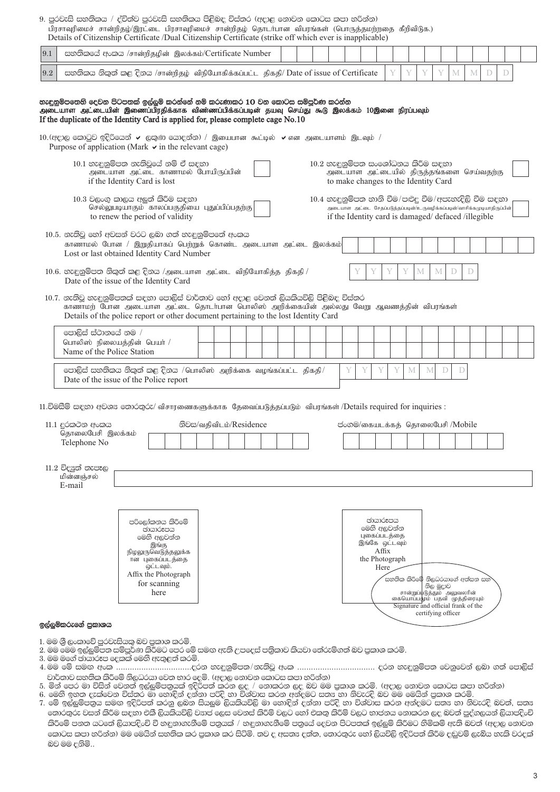9. පුරවැසි සහතිකය / ද්විත්ව පුරවැසි සහතිකය පිළිබඳ විස්තර (අදාළ නොවන කොටස කපා හරින්න) .<br>பிரசாவரிமைச் சான்றிதம்/இாட்டை பிரசாவுரிமைச் சான்றிதழ் தொடர்பான விபரங்கள் (பொருத்தமற்றதை கீறிவிடுக.)

|            |                                                                                 | பாப்படியிலாற வாலாற்கொடு அட்டை பாப்படியிலாற வாலாற்குந் அதொடாபாலா வாபிராவை (அபாப்பில்லங்கிலை) வற்றாமுற<br>Details of Citizenship Certificate /Dual Citizenship Certificate (strike off which ever is inapplicable)                                                                                                                                                                   |                         |  |  |  |   |                                                                                                                                                                                        |                   |                             |   |   |                                                                                                                                                                                  |   |   |   |              |  |
|------------|---------------------------------------------------------------------------------|------------------------------------------------------------------------------------------------------------------------------------------------------------------------------------------------------------------------------------------------------------------------------------------------------------------------------------------------------------------------------------|-------------------------|--|--|--|---|----------------------------------------------------------------------------------------------------------------------------------------------------------------------------------------|-------------------|-----------------------------|---|---|----------------------------------------------------------------------------------------------------------------------------------------------------------------------------------|---|---|---|--------------|--|
| 9.1        |                                                                                 | සහතිකයේ අංකය /சான்றிதழின் இலக்கம்/Certificate Number                                                                                                                                                                                                                                                                                                                               |                         |  |  |  |   |                                                                                                                                                                                        |                   |                             |   |   |                                                                                                                                                                                  |   |   |   |              |  |
| $\ \, 9.2$ |                                                                                 | සහතිකය නිකුත් කළ දිනය /சான்றிதழ் விநியோகிக்கப்பட்ட திகதி/ Date of issue of Certificate                                                                                                                                                                                                                                                                                             |                         |  |  |  |   |                                                                                                                                                                                        |                   |                             | Y | Y | Y                                                                                                                                                                                | M | M | D | $\mathbb{D}$ |  |
|            |                                                                                 | හැඳුනුම්පතෙහි දෙවන පිටපතක් ඉල්ලුම් කරන්නේ නම් කරුණාකර 10 වන කොටස සම්පූර්ණ කරන්න<br>அடையாள அட்டையின் இணைப்பிரதிக்காக விண்ணப்பிக்கப்படின் தயவு செய்து கூடு இலக்கம் 10இனை நிரப்பவும்<br>If the duplicate of the Identity Card is applied for, please complete cage No.10<br>$10.$ (අදාල කොටුව ඉදිරියෙන් $\checkmark$ ලකුණ යොදන්න) / இயைபான கூட்டில் $\checkmark$ என அடையாளம் இடவும் / |                         |  |  |  |   |                                                                                                                                                                                        |                   |                             |   |   |                                                                                                                                                                                  |   |   |   |              |  |
|            |                                                                                 | Purpose of application (Mark $\vee$ in the relevant cage)<br>10.1 හැඳුනුම්පත නැතිවූයේ නම් ඒ සඳහා                                                                                                                                                                                                                                                                                   |                         |  |  |  |   | 10.2 හැඳුනුම්පත සංශෝධනය කිරීම සඳහා                                                                                                                                                     |                   |                             |   |   |                                                                                                                                                                                  |   |   |   |              |  |
|            |                                                                                 | அடையாள அட்டை காணாமல் போயிருப்பின்<br>if the Identity Card is lost                                                                                                                                                                                                                                                                                                                  |                         |  |  |  |   | அடையாள அட்டையில் திருத்தங்களை செய்வதற்கு<br>to make changes to the Identity Card                                                                                                       |                   |                             |   |   |                                                                                                                                                                                  |   |   |   |              |  |
|            |                                                                                 | 10.3 වලංගු කාලය අලුත් කිරීම සඳහා<br>செல்லுபடியாகும் காலப்பகுதியை புதுப்பிப்பதற்கு<br>to renew the period of validity                                                                                                                                                                                                                                                               |                         |  |  |  |   | 10.4 හැඳුනුම්පත හානි වීම/පළුදු වීම/අපැහැදිලි වීම සඳහා<br>அடையாள அட்டை சேதப்படுத்தப்படின்/உருவழிக்கப்படின்/வாசிக்கமுடியாதிருப்பின்<br>if the Identity card is damaged/defaced/illegible |                   |                             |   |   |                                                                                                                                                                                  |   |   |   |              |  |
|            |                                                                                 | 10.5. නැතිවූ හෝ අවසන් වරට ලබා ගත් හැඳුනුම්පතේ අංකය<br>காணாமல் போன / இறுதியாகப் பெற்றுக் கொண்ட அடையாள அட்டை இலக்கம்<br>Lost or last obtained Identity Card Number                                                                                                                                                                                                                   |                         |  |  |  |   |                                                                                                                                                                                        |                   |                             |   |   |                                                                                                                                                                                  |   |   |   |              |  |
|            |                                                                                 | $10.6$ . නැඳුනුම්පත නිකුත් කළ දිනය /அடையாள அட்டை விநியோகித்த திகதி /<br>Date of the issue of the Identity Card                                                                                                                                                                                                                                                                     |                         |  |  |  |   |                                                                                                                                                                                        |                   | Y                           | Y | M | M                                                                                                                                                                                | D | D |   |              |  |
|            |                                                                                 | 10.7. නැතිවූ හැඳුනුම්පතක් සඳහා පොලිස් වාර්තාව හෝ අදාළ වෙනත් ලියකියවිලි පිළිබඳ විස්තර<br>காணாமற் போன அடையாள அட்டை தொடா்பான பொலிஸ் அறிக்கையின் அல்லது வேறு ஆவணத்தின் விபரங்கள்<br>Details of the police report or other document pertaining to the lost Identity Card                                                                                                                |                         |  |  |  |   |                                                                                                                                                                                        |                   |                             |   |   |                                                                                                                                                                                  |   |   |   |              |  |
|            | පොලිස් ස්ථානයේ නම /<br>பொலிஸ் நிலையத்தின் பெயர் /<br>Name of the Police Station |                                                                                                                                                                                                                                                                                                                                                                                    |                         |  |  |  |   |                                                                                                                                                                                        |                   |                             |   |   |                                                                                                                                                                                  |   |   |   |              |  |
|            |                                                                                 | $\circ$ පාලිස් සහතිකය නිකුත් කළ දිනය /பொலிஸ் அறிக்கை வழங்கப்பட்ட திகதி/<br>Date of the issue of the Police report                                                                                                                                                                                                                                                                  |                         |  |  |  | Y | Y                                                                                                                                                                                      | Y                 | Y                           | M | M | D                                                                                                                                                                                | D |   |   |              |  |
|            |                                                                                 | 11.විමසීම් සඳහා අවශය තොරතුරු/ விசாரணைகளுக்காக தேவைப்படுத்தப்படும் விபரங்கள் /Details required for inquiries :                                                                                                                                                                                                                                                                      |                         |  |  |  |   |                                                                                                                                                                                        |                   |                             |   |   |                                                                                                                                                                                  |   |   |   |              |  |
|            | 11.1 දුරකථන අංකය                                                                |                                                                                                                                                                                                                                                                                                                                                                                    | නිවස/வதிவிடம்/Residence |  |  |  |   | ප්ංගම/கையடக்கத் தொலைபேசி /Mobile                                                                                                                                                       |                   |                             |   |   |                                                                                                                                                                                  |   |   |   |              |  |
|            | தொலைபேசி இலக்கம்<br>Telephone No                                                |                                                                                                                                                                                                                                                                                                                                                                                    |                         |  |  |  |   |                                                                                                                                                                                        |                   |                             |   |   |                                                                                                                                                                                  |   |   |   |              |  |
|            | $11.2$ විදයුත් තැපෑල<br>மின்னஞ்சல்<br>E-mail                                    |                                                                                                                                                                                                                                                                                                                                                                                    |                         |  |  |  |   |                                                                                                                                                                                        |                   |                             |   |   |                                                                                                                                                                                  |   |   |   |              |  |
|            |                                                                                 | පරිලෝකනය කිරීමේ<br>ඡායාරූපය<br>මෙහි අලවන්න<br>இங்கு<br>நிழலுருவெடுத்தலுக்க                                                                                                                                                                                                                                                                                                         |                         |  |  |  |   | இங்கே ஒட்டவும்                                                                                                                                                                         | ඡායාරූපය<br>Affix | මෙහි අලවන්න<br>புகைப்படத்தை |   |   |                                                                                                                                                                                  |   |   |   |              |  |
|            |                                                                                 | ான புகைப்படத்தை<br>ஒட்டவும்.<br>Affix the Photograph<br>for scanning<br>here                                                                                                                                                                                                                                                                                                       |                         |  |  |  |   | the Photograph                                                                                                                                                                         | Here              |                             |   |   | .<br>සහතික කිරීමේ නිලධරයාගේ අත්සන සහ`<br>නිල මුදාව<br>சான்றுப்யுடுத்தும் அலுவலரின்<br>கையொப்பமும் பதவி முத்திரையும்<br>Signature and official frank of the<br>certifying officer |   |   |   |              |  |
|            | ඉල්ලුම්කරුගේ පුකාශය                                                             |                                                                                                                                                                                                                                                                                                                                                                                    |                         |  |  |  |   |                                                                                                                                                                                        |                   |                             |   |   |                                                                                                                                                                                  |   |   |   |              |  |
|            |                                                                                 | 1. මම ශී ලංකාවේ පරවැසියක බව පකාශ කරමි.                                                                                                                                                                                                                                                                                                                                             |                         |  |  |  |   |                                                                                                                                                                                        |                   |                             |   |   |                                                                                                                                                                                  |   |   |   |              |  |

- 2. මම මෙම ඉල්ලුම්පත සම්පූර්ණ කිරීමට පෙර මේ සමඟ ඇති උපදෙස් පතිකාව කියවා තේරුම්ගත් බව පුකාශ කරමි.
- 3. මම මගේ ඡායාරූප දෙකක් මෙහි ඇතුළත් කරමි.
- ි. මෙහි සහ සිය සම්බන්ධ සම්බන්ධ වෙන සම්බන්ධ වෙන්න වෙන්න සහ සම්බන්ධ වෙන්න සම්බන්ධ වෙන සම්බන්ධ සහ සම්බන්ධ වෙන්න.<br>1. මින් පෙර මා විසින් වෙනත් ඉල්ලුම්පතුයක් ඉදිරිපත් කරන ලද / නොකරන ලද බව මම පුකාශ කරමි. (අදාල නොවන කොටස කපා හරින
- 
- 
- 7. මේ ඉල්ලුම්පනුය සමඟ ඉදිරිපත් කරනු ලබන සියලුම ලියකියවිලි මා හොඳින් දන්නා පරිදි හා විශ්වාස කරන අන්දමට සත¤ හා නිවැරදි බවත්, සත¤ තොරතුරු වසන් කිරීම සඳහා එකී ලියකියවිලි වසාජ ලෙස වෙනස් කිරීම් වලට හෝ එකතු කිරීම් වලට භාජනය නොකරන ලද බවත් පුද්ගලයන් ලියාපදිංචි කිරීමේ පනත යටතේ ලියාපදිංචි වී හඳුනාගැනීමේ පනුයක් / හඳුනාගැනීමේ පනුයේ දෙවන පිටපතක් ඉල්ලුම් කිරීමට හිමිකම් ඇති බවත් (අදාල නොවන කොටස කපා හරින්න) මම මෙයින් සහතික කර පුකාශ කර සිටිමි. තව ද අසත¤ දත්ත, තොරතුරු හෝ ලියවිලි ඉදිරිපත් කිරීම දඬුවම් ලැබිය හැකි වරදක් බව මම දනිමි..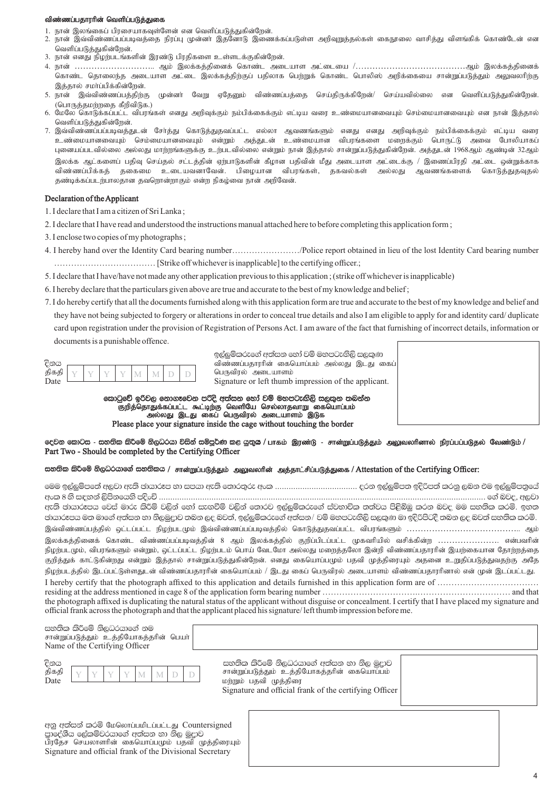### விண்ணப்பதாரரின் வெளிப்படுத்துகை

- 1. நான் இலங்கைப் பிரசையாகவுள்ளேன் என வெளிப்படுத்துகின்றேன்.
- 2. நான் இவ்விண்ணப்பப்படிவத்தை நிரப்பு முன்னா் இதனோடு இணைக்கப்படுள்ள அறிவுறுத்தல்கள் கைநூலை வாசித்து விளங்கிக் கொண்டேன் என வெளிப்படுத்துகின்றேன்.
- 3. நான் எனது நிழற்படங்களின் இரண்டு பிரதிகளை உள்ளடக்குகின்றேன்.
- 4. நான் ………………………………… ஆம் இலக்கத்தினைக் கொண்ட அடையாள அட்டையை /……………………………………ஆம் இலக்கத்தினைக் கொண்ட தொலைந்த அடையாள அட்டை இலக்கத்திற்குப் பதிலாக பெற்றுக் கொண்ட பொலிஸ் அறிக்கையை சான்றுப்படுத்தும் அலுவலரிற்கு இத்தால் சமா்ப்பிக்கின்றேன்.
- 5. நான் இவ்விண்ணப்பத்திற்கு முன்னா் வேறு ஏதேனும் விண்ணப்பத்தை செய்திருக்கிறேன்/ செய்யவில்லை என வெளிப்படுத்துகின்றேன். (பொருத்தமற்றதை கீறிவிடுக.)
- 6. மேலே கொடுக்கப்பட்ட விபரங்கள் எனது அறிவுக்கும் நம்பிக்கைக்கும் எட்டிய வரை உண்மையானவையும் செம்மையானவையும் என நான் இத்தால் வெளிப்படுத்துகின்றேன்.
- 7. இவ்விண்ணப்பப்படிவத்துடன் சோத்து கொடுத்துதவப்பட்ட எல்லா ஆவணங்களும் எனது எனது அறிவுக்கும் நம்பிக்கைக்கும் எட்டிய வரை .<br>உண்மையானவையும் செம்மையானவையும் என்றும் அத்துடன் உண்மையான விபரங்களை மறைக்கும் பொருட்டு அவை போலியாகப் புனையப்படவில்லை அல்லது மாற்றங்களுக்கு உற்படவில்லை என்றும் நான் இத்தால் சான்றுப்படுத்துகின்றேன். அத்துடன் 1968ஆம் ஆண்டின் 32ஆம் இலக்க ஆட்களைப் பதிவு செய்தல் சட்டத்தின் ஏற்பாடுகளின் கீமான பதிவின் மீது அடையாள அட்டைக்கு / இணைப்பிரதி அட்டை ஒன்றுக்காக விண்ணப்பிக்கத் தகைமை உடையவனாவேன். பிமையான விபரங்கள், தகவல்கள் அல்லது ஆவணங்களைக் கொடுத்துதவுதல் தண்டிக்கப்படற்பாலதான தவறொன்றாகும் என்ற நிகழ்வை நான் அறிவேன்.

## Declaration of the Applicant

- 1. I declare that I am a citizen of Sri Lanka ;
- 2. I declare that I have read and understood the instructions manual attached here to before completing this application form ;
- 3. I enclose two copies of my photographs ;
- 4. I hereby hand over the Identity Card bearing number……………………/Police report obtained in lieu of the lost Identity Card bearing number ……………………………… [Strike off whichever is inapplicable] to the certifying officer.;
- 5. I declare that I have/have not made any other application previous to this application ; (strike off whichever is inapplicable)
- 6. I hereby declare that the particulars given above are true and accurate to the best of my knowledge and belief ;
- 7. I do hereby certify that all the documents furnished along with this application form are true and accurate to the best of my knowledge and belief and they have not being subjected to forgery or alterations in order to conceal true details and also I am eligible to apply for and identity card/ duplicate card upon registration under the provision of Registration of Persons Act. I am aware of the fact that furnishing of incorrect details, information or documents is a punishable offence.

| திகதி           |  |  |  |  |
|-----------------|--|--|--|--|
| $\sum_{\alpha}$ |  |  |  |  |

ඉල්ලම්කරුගේ අත්සන හෝ වම් මහපටැඟිලි සලකුණ விண்ணப்பதாரரின் கையொப்பம் அல்லது இடது கைப் பெருவிரல் அடையாளம் Signature or left thumb impression of the applicant.

කොටුවේ ඉරිවල නොගෑවෙන පරිදි අත්සන හෝ වම් මහපටැඟිලි සලකුන තබන්න குறித்தொதுக்கப்பட்ட கூட்டிற்கு வெளியே செல்லாதவாறு கையொப்பம் ் அல்லது இடது கைப் பெருவிரல் அடையாளம் இடுக Please place your signature inside the cage without touching the border

# දෙවන කොටස - සහතික කිරීමේ නිලධරයා විසින් සම්පූර්ණ කළ යුතුය / பாகம் இரண்டு - சான்றுப்படுத்தும் அலுவலரினால் நிரப்பப்படுதல் வேண்டும் / Part Two - Should be completed by the Certifying Officer

#### සහතික කිරීමේ නිලධරයාගේ සහතිකය / சான்றுப்படுத்தும் அலுவலரின் அத்தாட்சிப்படுத்துகை / Attestation of the Certifying Officer:

fuu b,a¨ïmf;a w,jd we;s PdhdrEm yd imhd we;s f;dr;=re wxl '''''''''''''''''''''''''''''''''''' ork b,a¨ïm; bosßm;a lrkq ,nk tu b,a¨ïm;%fha wxl 8 ys i|yka ,smskfhys mosxÑ ''''''''''''''''''''''''''''''''''''''''''''''''''''''''''''''''''''''''''''''''''''''''''''''''''''''''''''''''''''''''''''''''''''''''''''''' f.a njo" w,jd ඇති ඡායාරූපය වෙස් මාරු කිරීම් වලින් හෝ සැගවීම් වලින් තොරව ඉල්ලුම්කරුගේ ස්වභාවික තත්වය පිළිබිඹු කරන බවද මම සහතික කරමි. ඉහත ඡායාරූපය මත මාගේ අත්සන හා නිලමුදාව තබන ලද බවත්, ඉල්ලුම්කරුගේ අත්සන/ වම් මහපටැගිලි සලකුණ මා ඉදිරිපිටදී තබන ලද බවත් සහතික කරමි. இவ்விண்ணப்பத்தில் ஒட்டப்பட்ட நிழற்படமும் இவ்விண்ணப்பப்படிவத்தில் கொடுத்துதவப்பட்ட விபரங்களும் …………………………………… ஆம் இலக்கத்தினைக் கொண்ட விண்ணப்பப்படிவத்தின் 8 ஆம் இலக்கத்தில் குறிப்பிடப்பட்ட முகவரியில் வசிக்கின்ற …………………… என்பவரின் நிழற்படமும், விபரங்களும் என்றும், ஒட்டப்பட்ட நிழற்படம் பொய் வேடமோ அல்லது மறைத்தலோ இன்றி விண்ணப்பதாரரின் இயற்கையான தோற்றத்தை குறித்துக் காட்டுகின்றது என்றும் இத்தால் சான்றுப்படுத்துகின்றேன். எனது கையொப்பமும் பதவி முத்திரையும் அதனை உறுதிப்படுத்துவதற்கு அதே நிழற்படத்தில் இடப்பட்டுள்ளதுடன் விண்ணப்பதாரரின் கையொப்பம் / இடது கைப் பெருவிரல் அடையாளம் விண்ணப்பதாரரினால் என் முன் இடப்பட்டது. I hereby certify that the photograph affixed to this application and details furnished in this application form are of ……………………………… residing at the address mentioned in cage 8 of the application form bearing number …………………………….…………………………… and that the photograph affixed is duplicating the natural status of the applicant without disguise or concealment. I certify that I have placed my signature and official frank across the photograph and that the applicant placed his signature/ left thumb impression before me.

| සහතික කිරීමේ නිලධරයාගේ නම<br>சான்றுப்படுத்தும் உத்தியோகத்தரின் பெயர் <br>Name of the Certifying Officer |                                                                                                                                                                             |  |
|---------------------------------------------------------------------------------------------------------|-----------------------------------------------------------------------------------------------------------------------------------------------------------------------------|--|
| දිනය<br>திகதி<br>Date                                                                                   | සහතික කිරීමේ නිලධරයාගේ අත්සන හා නිල මුදාව<br>சான்றுப்படுத்தும் உத்தியோகத்தரின் கையொப்பம்<br>மற்றும் பதவி முத்திரை<br>Signature and official frank of the certifying Officer |  |

අනු අත්සන් කරමි மேலொப்பமிடப்பட்டது Countersigned පාදේශීය ලේකම්වරයාගේ අත්සන හා නිල මුදාව பிரதேச செயலாளரின் கையொப்பமும் பதவி முத்திரையும் Signature and official frank of the Divisional Secretary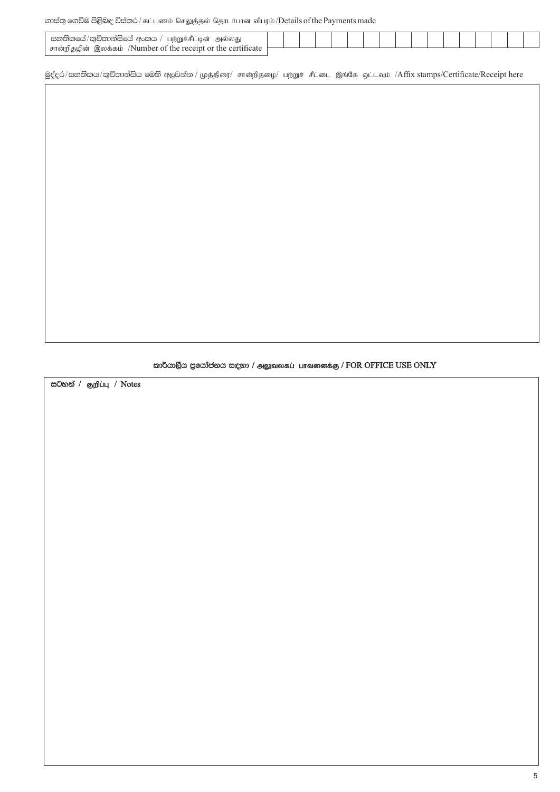# லைக்ஜ குல் செர்ஜெ திக்கை / கட்டணம் செலுத்தல் தொடர்பான விபரம் / Details of the Payments made

| සහතිකයේ/කුවිතාන්සියේ අංකය /<br>/ பற்றுச்சீட்டின் அல்லது         |  |  |  |  |  |  |  |  |  |
|-----------------------------------------------------------------|--|--|--|--|--|--|--|--|--|
| ் சான்றிதழின் இலக்கம் /Number of the receipt or the certificate |  |  |  |  |  |  |  |  |  |
|                                                                 |  |  |  |  |  |  |  |  |  |

මුද්දර/සහතිකය/කුවිතාන්සිය මෙහි අලවන්න / முத்திரை/ சான்றிதழை/ பற்றுச் சீட்டை இங்கே ஒட்டவும் /Affix stamps/Certificate/Receipt here

කාර්යාලීය පුයෝජනය සඳහා / அலுவலகப் பாவனைக்கு / FOR OFFICE USE ONLY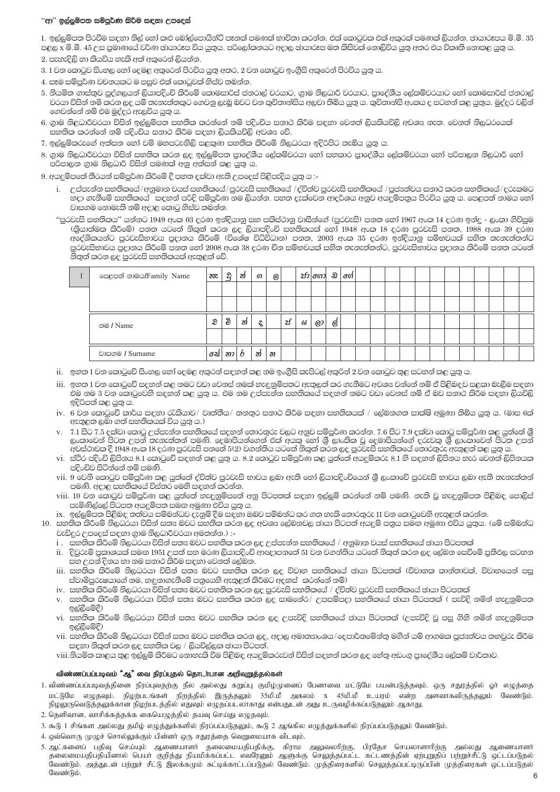#### ''ආ'' ඉල්ලම්පත සම්පර්ණ කිරීම සඳහා උපදෙස්

1. ඉල්ලුම්පත පිරවීම සඳහා නිල් හෝ කළු බෝල්පොයින්ට් පෑනක් පමණක් භාවිතා කරන්න. එක් කොටුවක එක් අකරක් පමණක් ලියන්න. ඡායාරූපය මි.මී. 35 පළල x මි.මී. 45 උස පුමාණයේ වර්ණ ඡායාරූප විය යුතුය. පරිලෝකනයට අදාල ඡායාරූප මත කිසිවක් නොලිවිය යුතු අතර එය විකෘති නොකළ යුතු ය.

2. පැහැදිලි හා කියවිය හැකි අත් අකුරෙන් ලියන්න.

- 3. 1 වන කොටුව සිංහල හෝ දෙමළ අකුරෙන් පිරවිය යුතු අතර, 2 වන කොටුව ඉංගීසි අකුරෙන් පිරවිය යුතු ය.
- 4. සෑම සම්පුර්ණ වචනයකට ම පසුව එක් කොටුවක් නිස්ව තබන්න.
- 5. නියමිත ගාස්තුව පුද්ගලයන් ලියාපදිංචි කිරීමේ කොමසාරිස් ජනරාල් වරයාට, ගාම නිලධාරී වරයාට, පුාදේශීය ලේකම්වරයාට හෝ කොමසාරිස් ජනරාල් වරයා විසින් නමි කරන ලද යම් තැනැත්තකුට ගෙවනු ලැබූ බවට වන කුවිතාන්සිය අලවා තිබිය යුතු ය. කුවිතාන්සි අංකය ද සටහන් කළ යුතුය. මුද්දර වලින් ගෙවන්නේ නම් එම මුද්දර ඇලවිය යුතු ය.
- 6. ගුාම නිළධාරීවරයා විසින් ඉල්ලුම්පත සහතික කරන්නේ නම් පදිංචිය සනාථ කිරීම සඳහා වෙනත් ලියකියවිලි අවශෟ නැත. වෙනත් නිලධරයෙක් .<br>සහතික කරන්නේ නම් පදිංචිය සනාථ කිරීම සඳහා ලියකියවිලි අවශ<sub>ී</sub> වේ.
- 7. ඉල්ලම්කරුගේ අත්සන හෝ වම් මහපටැගිලි සළකණ සහතික කිරීමේ නිලධරයා ඉදිරිපිට තැබිය යුතු ය.
- 8. ගාම නිලධාරීවරයා විසින් සහතික කරන ලද ඉල්ලුම්පත පාදේශීය ලේකම්වරයා හෝ සහකාර පාදේශීය ලේකම්වරයා හෝ පරිපාලන නිලධාරී හෝ .<br>පරිපාලන ගාම නිලධාරී විසින් පමණක් අනු අත්සන් කළ යුතු ය.

9. අයදුම්පතේ තීරයන් සම්පුර්ණ කිරීමේ දී පහත දක්වා ඇති උපදෙස් පිළිපැදිය යුතු ය :-

- i. උප්පැන්න සහතිකයේ/අනුමාන වයස් සහතිකයේ/පුරවැසි සහතිකයේ /ද්විත්ව පුරවැසි සහතිකයේ /පූජ¤ත්වය සනාථ කරන සහතිකයේ/දරුකමට හදා ගැනීමේ සහතිකයේ සඳහන් පරිදි සම්පූර්ණ නම ලියන්න. පහත දැක්වෙන ආදර්ශය අනුව අයදුම්පතුය පිරවිය යුතු ය. පෙළපත් නාමය හෝ වාසගම නොමැති නම් අදාළ කොටු නිස්ව තබන්න.
- ''පුරවැසි සහතිකය'' යන්නට 1949 අංක 03 දරණ ඉන්දියානු සහ පකිස්ථානු වාසීන්ගේ (පුරවැසි) පනත හෝ 1967 අංක 14 දරණ ඉන්දු ලංකා ගිවිසුම (බුයාත්මක කිරීමේ) පනත යටතේ නිකුත් කරන ලද ලියාපදිංචි සහතිකයක් හෝ 1948 අංක 18 දරණ පුරවැසි පනත, 1988 අංක 39 දරණ .<br>අදේශිකයන්ට පුරවැසිභාවය පුදානය කිරීමේ (විශේෂ විධිවිධාන) පනත, 2003 අංක 35 දරණ ඉන්දියානු සම්භවයක් සහිත තැනැත්තන්ට පුරවැසිභාවය පුදානය කිරීමේ පනත හෝ 2008 අංක 38 දරණ චීන සම්භවයක් සහිත තැනැත්තන්ට, පුරවැසිභාවය පුදානය කිරීමේ පනත යටතේ නිතුත් කරන ලද පුරවැසි සහතිකයක් ඇතුළත් වේ.

| පෙළපත් නාමය/Family Name | නැ   | ව  | ঠা | ഗ  | $\odot$ |    |   | <i>ปร\</i> 601 มิ   60 |   |  |  |  |  |  |  |  |
|-------------------------|------|----|----|----|---------|----|---|------------------------|---|--|--|--|--|--|--|--|
|                         |      |    |    |    |         |    |   |                        |   |  |  |  |  |  |  |  |
|                         |      |    |    |    |         |    |   |                        |   |  |  |  |  |  |  |  |
| නම / Name               | D    | වි | ঠা | Š. |         | كح | ω | O(2)                   | Ø |  |  |  |  |  |  |  |
|                         |      |    |    |    |         |    |   |                        |   |  |  |  |  |  |  |  |
| වාසගම / Surname         | 62\$ | නා | O  | ঠা | න       |    |   |                        |   |  |  |  |  |  |  |  |

- ii. ඉහත 1 වන කොටුවේ සිංහල හෝ දෙමළ අකුරන් සඳහන් කළ නම ඉංගීුසි කැපිටල් අකුරින් 2 වන කොටුව තුළ සටහන් කළ යුතු ය.
- iii. ඉහත 1 වන කොටුවේ සදහන් කළ නමට වඩා වෙනස් නමක් හැඳුනුම්පතට ඇතුලත් කර ගැනීමට අවශ¤ වන්නේ නම් ඒ පිළිබඳව සළකා බැලීම සඳහා එම නම 3 වන කොටුවෙනි සඳහන් කළ යුතු ය. එම නම උප්පැන්න සහතිකයේ සඳහන් නමට වඩා වෙනස් නම් ඒ බව සනාථ කිරීම සඳහා ලියවිලි ඉදිරිපත් කළ යුතු ය.
- iv. 6 වන කොටුවේ කාර්ය සඳහා රැකියාව/ වෘත්තීය/ තනතුර සනාථ කිරීම සඳහා සහතිකයක් / ලේබනගත සාක්ෂි අමුණා තිබිය යුතු ය. (මාස 6ක් ඇතුළත ලබා ගත් සහතිකයක් විය යුතු ය.)
- v. 7.1 සිට 7.5 දක්වා කොටු උප්පැන්න සහතිකයේ සදහන් තොරතුරු වලට අනුව සම්පූර්ණ කරන්න. 7.6 සිට 7.9 දක්වා කොටු සම්පූර්ණ කළ යුත්තේ ශූී ලංකාවෙන් පිටත උපන් තැනැත්තන් පමණි. දෙමාපියන්ගෙන් එක් අයකු හෝ ශී ලාංකික වූ දෙමාපියන්ගේ දරුවකු ශී ලාංකාවෙන් පිටත උපන් .<br>අවස්ථාවක දී 1948 අංක 18 දරණ පුරවැසි පනතේ 5(2) වගන්තිය යටතේ නිකුත් කරන ලද පුරවැසි සහතිකයේ තොරතුරු ඇතුළත් කළ යුතු ය.
- vi. ස්ථිර පදිංචි ලිපිනය 8.1 කොටුවේ සඳහන් කළ යුතු ය. 8.2 කොටුව සම්පූර්ණ කළ යුත්තේ අයදුම්කරු 8.1 හි සඳහන් ලිපිනය හැර වෙනත් ලිපිනයක පදිංචිව සිටින්නේ නම් පමණි.
- vii. 9 වෙනි කොටුව සම්පූර්ණ කළ යුත්තේ ද්විත්ව පුරවැසි භාවය ලබා ඇති හෝ ලියාපදිංචියෙන් ශී ලංකාවේ පුරවැසි භාවය ලබා ඇති තැනැත්තන් පමණි. අදාළ සහතිකයේ විස්තර මෙහි සඳහන් කරන්න.
- viii. 10 වන කොටුව සම්පූර්ණ කළ යුත්තේ හැඳුනුම්පතේ අනු පිටපතක් සඳහා ඉල්ලුම් කරන්නේ නම් පමණි. නැති වූ හැඳුනුම්පත පිළිබඳ පොලිස් පැමිණිල්ලේ පිටපත අයදුම්පත සමඟ අමුණා එවිය යුතු ය.
- ix. ඉල්ලුම්පත පිළිබඳ තත්වය සම්බන්ධව දැනුම් දීම සඳහා ඔබව සම්බන්ධ කර ගත හැකි තොරතුරු 11 වන කොටුවෙනි ඇතුළත් කරන්න.
- 10. සනතික කිරීමේ නිලධරයා විසින් සත¤ බවට සනතික කරන ලද අවශ¤ ලේබනවල ඡායා පිටපත් අයදුම් පතුය සමඟ අමුණා එවිය යුතුය. (මේ සම්බන්ධ වැඩිදුර උපදෙස් සඳහා ගාම නිලධාරීවරයා අමතන්න.) :
	- i . සනතික කිරීමේ නිලධරයා විසින් සත¤ බවට සහතික කරන ලද උප්පැන්න සහතිකයේ / අනුමාන වයස් සහතිකයේ ඡායා පිටපතක්
	- ii. දිවුරුම් පුකාශයක් සමඟ 1951 උපත් සහ මරණ ලියාපදිංචි ආඥාපනතේ 51 වන වගන්තිය යටතේ නිකුත් කරන ලද ලේඛන සෙවීමේ පුතිඵල සටහන සහ උපන් දිනය හා නම සනාථ කිරීම සඳහා වෙනත් ලේඛන.
	- iii. සනතික කිරීමේ නිලධරයා විසින් සත¤ බවට සහතික කරන ලද විවාන සහතිකයේ ඡායා පිටපතක් (විවාහක කාන්තාවක්, විවාහයෙන් පසු ස්වාමිපුරුෂයාගේ නම, හඳුනාගැනීමේ පතුයෙහි ඇතුළත් කිරීමට අදහස් කරන්නේ නම්)
	- iv. සහතික කිරීමේ නිලධරයා විසින් සත¤ බවට සහතික කරන ලද පුරවැසි සහතිකයේ / ද්විත්ව පුරවැසි සහතිකයේ ඡායා පිටපතක්
	- v. සනතික කිරීමේ නිලධරයා විසින් සත¤ බවට සනතික කරන ලද සාමනේර/ උපසම්පදා සනතිකයේ ඡායා පිටපතක් ( පැවිදි නමින් හැදුනුම්පත ඉල්ලීමේදී)
	- vi. සහතික කිරීමේ නිලධරයා විසින් සත¤ බවට සහතික කරන ලද උපැවිදි සහතිකයේ ඡායා පිටපතක් (උපැවිදි වූ පසු ගිහි නමින් හැදුනුම්පත ඉල්ලීමේදී)
	- vii. සහතික කිරීමේ නිලධරයා විසින් සත¤ බවට සහතික කරන ලද, අදාල අමාත¤ාංශය/දෙපාර්තමේන්තු මගින් යම් ආගමක පූජ¤ත්වය තහවුරු කිරීම සඳහා නිකුත් කරන ලද සහතික වල / ලියවිල්ලක ඡායා පිටපත්.

viii.නියමිත කාළය තුළ ඉල්ලුම් කිරීමට නොහැකි වීම පිළිබඳ අයදම්කරුවන් විසින් සඳහන් කරන ලද හේතු අඩංගු පාදේශීය ලේකම් වාර්තාව,

## விண்ணப்பப்படிவம் "ஆ" வை நிரப்புதல் தொடர்பான அறிவுறுத்தல்கள்

- 1. விண்ணப்பப்படிவத்தினை நிரப்புவதற்கு நீல அல்லது கறுப்பு குமிழ்முனைப் பேனாவை மட்டுமே பயன்படுத்தவும். ஒரு சதுரத்தில் ஓர் எழுத்தை மட்டுமே எழுதவும். நிழற்படங்கள் நிறத்தில் இருத்தலும் 35மி.மீ அகலம் x 45மி.மீ உயரம் என்ற அளவாகவிருத்தலும் வேண்டும். நிழலுருவெடுத்தலுக்கான நிழற்படத்தில் எதுவும் எழுதப்படலாகாது என்பதுடன் அது உருவழிக்கப்படுதலும் ஆகாது.
- 2. தெளிவான, வாசிக்கத்தக்க கையெழுத்தில் தயவு செய்து எழுதவும்.
- 3. கூடு 1 சிங்கள அல்லது தமிழ் எழுத்துக்களில் நிரப்பப்படுதலும், கூடு 2 ஆங்கில எழுத்துக்களில் நிரப்பப்படுதலும் வேண்டும்.
- 4. ஒவ்வொரு முழுச் சொல்லுக்கும் பின்னர் ஒரு சதுரத்தை வெறுமையாக விடவும்.
- 5. ஆட்களைப் பதிவு செய்யும் ஆணையாளர் தலைமையதிபதிக்கு, கிராம அலுவலரிற்கு, பிரதேச செயலாளாரிற்கு அல்லது ஆணையாளர் தலைமையதிபதியினால் பெயா குறித்து நியமிக்கப்பட்ட எவரேனும் ஆளுக்கு செலுத்தப்பட்ட கட்டணத்தின் ஏற்புறுதிப் பற்றுச்சீட்டு ஒட்டப்படுதல் வேண்டும்.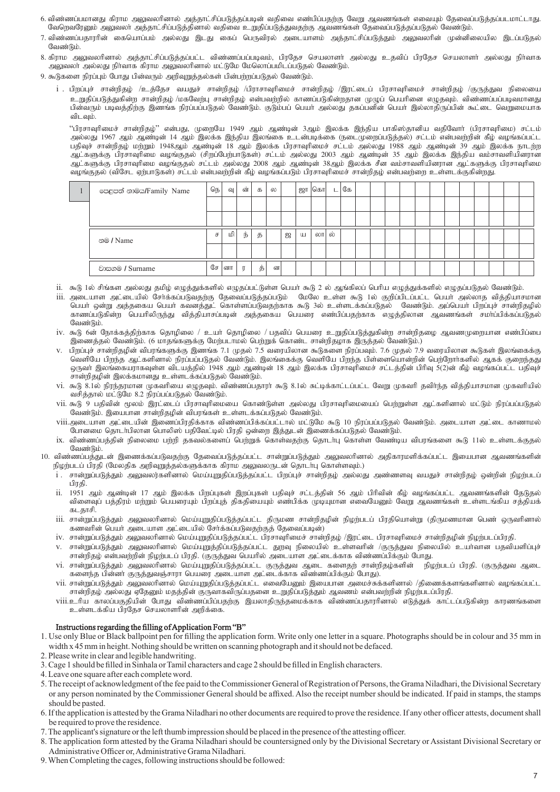- 6. விண்ணப்பமானது கிராம அலுவலரினால் அத்தாட்சிப்படுத்தப்படின் வதிவை எண்பிப்பதற்கு வேறு ஆவணங்கள் எவையும் தேவைப்படுத்தப்படமாட்டாது. வேறெவரேனும் அலுவலா அத்தாட்சிப்படுத்தினால் வதிவை உறுதிப்படுத்துவதற்கு ஆவணங்கள் தேவைப்படுத்தப்படுதல் வேண்டும்.
- 7. விண்ணப்பகாாரின் கையொப்பம் அல்லகு இடகு கைப் பெருவிால் அடையாளம் அக்காட்சிப்படுக்கும் அலுவலரின் முன்னிலையில இடப்படுகல் வேண்டும்.
- 8. கிராம அலுவலரினால் அத்தாட்சிப்படுத்தப்பட்ட விண்ணப்பப்படிவம், பிரதேச செயலாளர் அல்லது உதவிப் பிரதேச செயலாளர் அல்லது நிர்வாக அலுவலா அல்லது நிர்வாக கிராம அலுவலரினால் மட்டுமே மேலொப்பமிடப்படுதல் வேண்டும்.
- 9. கூடுகளை நிரப்பும் போது பின்வரும் அறிவுறுத்தல்கள் பின்பற்றப்படுதல் வேண்டும்.
	- $i$  . பிறப்புச் சான்றிதழ் /உத்தேச வயதுச் சான்றிதழ் /பிராசாவுரிமைச் சான்றிதழ் /இரட்டைப் பிரசாவுரிமைச் சான்றிதழ் /குருத்துவ நிலையை உறுதிப்படுத்துகின்ற சான்றிதழ் /மகவேற்பு சான்றிதழ் என்பவற்றில் காணப்படுகின்றதான முழுப் பெயரினை எழுதவும். விண்ணப்பப்படிவமானது பின்வரும் படிவத்திற்கு இணங்க நிரப்பப்படுதல் வேண்டும். குடும்பப் பெயா அல்லது தகப்பனின் பெயா இல்லாதிருப்பின் கூட்டை வெறுமையாக விடவம்.

"பிரசாவுரிமைச் சான்றிதழ்" என்பது, முறையே 1949 ஆம் ஆண்டின் 3ஆம் இலக்க இந்திய பாகிஸ்தானிய வதிவோர் (பிரசாவுரிமை) சட்டம் அல்லது 1967 ஆம் ஆண்டின் 14 ஆம் இலக்க இந்திய இலங்கை உடன்படிக்கை (நடைமுறைப்படுத்தல்) சட்டம் என்பவற்றின் கீழ் வழங்கப்பட்ட பதிவுச் சான்றிதழ் மற்றும் 1948ஆம் ஆண்டின் 18 ஆம் இலக்க பிரசாவுரிமைச் சட்டம் அல்லது 1988 ஆம் ஆண்டின் 39 ஆம் இலக்க நாடற்ற ஆட்களுக்கு பிரசாவுரிமை வழங்குதல் (சிறப்பேற்பாடுகள்) சட்டம் அல்லது 2003 ஆம் ஆண்டின் 35 ஆம் இலக்க இந்திய வம்சாவளியினரான ஆட்களுக்கு பிரசாவுரிமை வழங்குதல் சட்டம் அல்லது 2008 ஆம் ஆண்டின் 38ஆம் இலக்க சீன வம்சாவளியினரான ஆட்களுக்கு பிரசாவுரிமை ்வமங்குகல் (விசேட ஏற்பாடுகள்) சட்டம் என்பவற்றின் கீழ் வழங்கப்படும் பிரசாவுரிமைச் சான்றிதழ் என்பவற்றை உள்ளடக்குகின்றது.

| පෙළපත් නාමය/Family Name | நெ | வு | ன்          | க  | ல |   | ஜா | கொ  |     | கே |  |  |  |  |  |  |
|-------------------------|----|----|-------------|----|---|---|----|-----|-----|----|--|--|--|--|--|--|
|                         |    |    |             |    |   |   |    |     |     |    |  |  |  |  |  |  |
|                         |    |    |             |    |   |   |    |     |     |    |  |  |  |  |  |  |
| නම / Name               | ச  | மி | ந்          | த  |   | ஜ | Ш  | லாட | ்ல் |    |  |  |  |  |  |  |
|                         |    |    |             |    |   |   |    |     |     |    |  |  |  |  |  |  |
| වාසගම / Surname         | சே | னா | $\mathbb T$ | த் | ன |   |    |     |     |    |  |  |  |  |  |  |

- ii. கூடு 1ல் சிங்கள அல்லது தமிழ் எழுத்துக்களில் எழுதப்பட்டுள்ள பெயர் கூடு 2 ல் ஆங்கிலப் பெரிய எழுத்துக்களில் எழுதப்படுதல் வேண்டும்.
- iii. அடையாள அட்டையில் சேர்க்கப்படுவதற்கு தேவைப்படுத்தப்படும் மேலே உள்ள கூடு 1ல் குறிப்பிடப்பட்ட பெயர் அல்லாத வித்தியாசமான பெயா் ஒன்று அத்தகைய பெயா் கவனத்துட் கொள்ளப்படுவதற்காக கூடு 3ல் உள்ளடக்கப்படுதல் வேண்டும். அப்பெயா் பிறப்புச் சான்றிதழில் காணப்படுகின்ற பெயரிலிருந்து வித்தியாசப்படின் அத்தகைய பெயரை எண்பிப்பதற்காக எழுத்திலான ஆவணங்கள் சமாப்பிக்கப்படுதல வேண்டும்.
- iv. கூடு 6ன் நோக்கத்திற்காக தொழிலை / உயர் தொழிலை / பதவிப் பெயரை உறுதிப்படுத்துகின்ற சான்றிதழை ஆவணமுறையான எண்பிப்பை .<br>இணைத்தல் வேண்டும். (6 மாதங்களுக்கு மேற்படாமல் பெற்றுக் கொண்ட சான்றிதழாக இருத்தல் வேண்டும்.)
- v. பிறப்புச் சான்றிதழின் விபரங்களுக்கு இணங்க 7.1 முதல் 7.5 வரையிலான கூடுகளை நிரப்பவும். 7.6 முதல் 7.9 வரையிலான கூடுகள் இலங்கைக்கு வெளியே பிறந்த ஆட்களினால் நிரப்பப்படுதல் வேண்டும். இலங்கைக்கு வெளியே பிறந்த பிள்ளையொன்றின் பெற்றோர்களில் ஆகக் குறைந்தது xUth; ,yq;ifauhfTs;s tplaj;jpy; 1948 Mk; Mz;bd; 18 Mk; ,yf;f gpurhThpikr; rl;lj;jpd; gphpT 5(2)d; fPo; toq;fg;gl;l gjpTr; சான்றிதழின் இலக்கமானது உள்ளடக்கப்படுதல் வேண்டும்.
- vi. கூடு 8.1ல் நிரந்தரமான முகவரியை எழுதவும். விண்ணப்பதாரா் கூடு 8.1ல் சுட்டிக்காட்டப்பட்ட வேறு முகவரி தவிா்ந்த வித்தியாசமான முகவரியில் வசித்தால் மட்டுமே 8.2 நிரப்பப்படுதல் வேண்டும்.
- vii. கூடு 9 பதிவின் மூலம் இரட்டைப் பிரசாவுரிமையை கொண்டுள்ள அல்லது பிரசாவுரிமையைப் பெற்றுள்ள ஆட்களினால் மட்டும் நிரப்பப்படுதல் வேண்டும். இயைபான சான்றிதழின் விபரங்கள் உள்ளடக்கப்படுதல் வேண்டும்.
- viii.அடையாள அட்டையின் இணைப்பிரதிக்காக விண்ணப்பிக்கப்பட்டால் மட்டுமே கூடு 10 நிரப்பப்படுதல் வேண்டும். அடையாள அட்டை காணாமல் போனமை தொடா்பிலான பொலிஸ் பதிவேட்டில் பிரதி ஒன்றை இத்துடன் இணைக்கப்படுதல் வேண்டும்.
- ix. விண்ணப்பத்தின் நிலைமை பற்றி தகவல்களைப் பெற்றுக் கொள்வதற்கு தொடர்பு கொள்ள வேண்டிய விபரங்களை கூடு 11ல் உள்ளடக்குதல் வேண்டும்.
- 10. விண்ணப்பத்துடன் இணைக்கப்படுவதற்கு தேவைப்படுத்தப்பட்ட சான்றுப்படுத்தும் அலுவலரினால் அதிகாரமளிக்கப்பட்ட இயைபான ஆவணங்களின் .<br>நிழற்படப் பிரதி (மேலதிக அறிவுறுத்தல்களுக்காக கிராம அலுவலருடன் தொடாபு கொள்ளவும்.)
	- i . சான்றுப்படுத்தும் அலுவலர்களினால் மெய்யுறுதிப்படுத்தப்பட்ட பிறப்புச் சான்றிதழ் அல்லது அண்ணளவு வயதுச் சான்றிதழ் ஒன்றின் நிழற்படப் பிரகி.
	- ...<br>ii. 1951 ஆம் ஆண்டின் 17 ஆம் இலக்க பிறப்புகள் இறப்புகள் பதிவுச் சட்டத்தின் 56 ஆம் பிரிவின் கீழ் வழங்கப்பட்ட ஆவணங்களின் தேடுதல் ்விளைவுப் பத்திரம் மற்றும் பெயரையும் பிறப்புத் திகதியையும் எண்பிக்க முடியுமான எவையேனும் வேறு ஆவணங்கள் உள்ளடங்கிய சத்தியக் கடகாசி.
	- iii. சான்றுப்படுத்தும் அலுவலரினால் மெய்யுறுதிப்படுத்தப்பட்ட திருமண சான்றிதழின் நிழற்படப் பிரதியொன்று (திருமணமான பெண் ஒருவரினால் கணவரின் பெயர் அடையாள அட்டையில் சேர்க்கப்படுவதற்குத் தேவைப்படின்)
	- iv. சான்றுப்படுத்தும் அலுவலரினால் மெய்யுறுதிப்படுத்தப்பட்ட பிரசாவுரிமைச் சான்றிதழ் /இரட்டை பிரசாவுரிமைச் சான்றிதழின் நிழற்படப்பிரதி.
	- v. சான்றுப்படுத்தும் அலுவலரினால் மெய்யுறுத்திப்படுத்தப்பட்ட துறவு நிலையில் உள்ளவரின் /குருத்துவ நிலையில் உயர்வான பதவியளிப்புச் சான்றிதழ் என்பவற்றின் நிழற்படப் பிரதி. (குருத்துவ பெயரில் அடையாள அட்டைக்காக விண்ணப்பிக்கும் போது.
	- vi. சான்றுப்படுத்தும் அலுவலரினால் மெய்யுறுதிப்படுத்தப்பட்ட குருத்துவ ஆடை களைதற் சான்றிதழ்களின் நிழற்படப் பிரதி. (குருத்துவ ஆடை களைந்த பின்னா் குருத்துவஞ்சாரா பெயரை அடையாள அட்டைக்காக விண்ணப்பிக்கும் போது).
	- vii. சான்றுப்படுத்தும் அலுவலரினால் மெய்யுறுதிப்படுத்தப்பட்ட எவையேனும் இயைபான அமைச்சுக்களினால் /திணைக்களங்களினால் வழங்கப்பட்ட சான்றிதழ் அல்லது ஏதேனும் மதத்தின் குருவாகவிருப்பதனை உறுதிப்படுத்தும் ஆவணம் என்பவற்றின் நிழற்படப்பிரதி.
	- viii.உரிய காலப்பகுதியின் போது விண்ணப்பிப்பதற்கு இயலாதிருந்தமைக்காக விண்ணப்பதாரரினால் எடுத்துக் காட்டப்படுகின்ற காரணங்களை உள்ளடக்கிய பிரதேச செயலாளரின் அறிக்கை.

# Instructions regarding the filling of Application Form "B"

- 1. Use only Blue or Black ballpoint pen for filling the application form. Write only one letter in a square. Photographs should be in colour and 35 mm in width x 45 mm in height. Nothing should be written on scanning photograph and it should not be defaced.
- 2. Please write in clear and legible handwriting.
- 3. Cage 1 should be filled in Sinhala or Tamil characters and cage 2 should be filled in English characters.
- 4. Leave one square after each complete word.
- 5. The receipt of acknowledgment of the fee paid to the Commissioner General of Registration of Persons, the Grama Niladhari, the Divisional Secretary or any person nominated by the Commissioner General should be affixed. Also the receipt number should be indicated. If paid in stamps, the stamps should be pasted.
- 6. If the application is attested by the Grama Niladhari no other documents are required to prove the residence. If any other officer attests, document shall be required to prove the residence.
- 7. The applicant's signature or the left thumb impression should be placed in the presence of the attesting officer.
- 8. The application form attested by the Grama Niladhari should be countersigned only by the Divisional Secretary or Assistant Divisional Secretary or Administrative Officer or, Administrative Grama Niladhari.
- 9. When Completing the cages, following instructions should be followed: